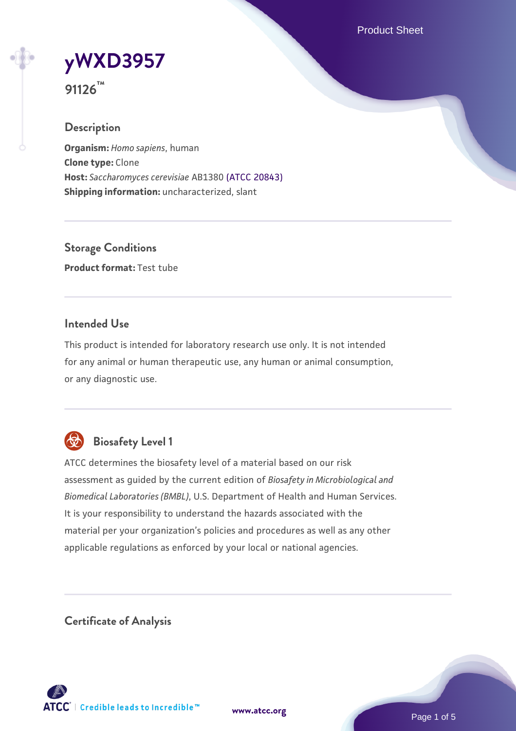Product Sheet



**91126™**

#### **Description**

**Organism:** *Homo sapiens*, human **Clone type:** Clone **Host:** *Saccharomyces cerevisiae* AB1380 [\(ATCC 20843\)](https://www.atcc.org/products/20843) **Shipping information:** uncharacterized, slant

**Storage Conditions Product format:** Test tube

#### **Intended Use**

This product is intended for laboratory research use only. It is not intended for any animal or human therapeutic use, any human or animal consumption, or any diagnostic use.



## **Biosafety Level 1**

ATCC determines the biosafety level of a material based on our risk assessment as guided by the current edition of *Biosafety in Microbiological and Biomedical Laboratories (BMBL)*, U.S. Department of Health and Human Services. It is your responsibility to understand the hazards associated with the material per your organization's policies and procedures as well as any other applicable regulations as enforced by your local or national agencies.

**Certificate of Analysis**

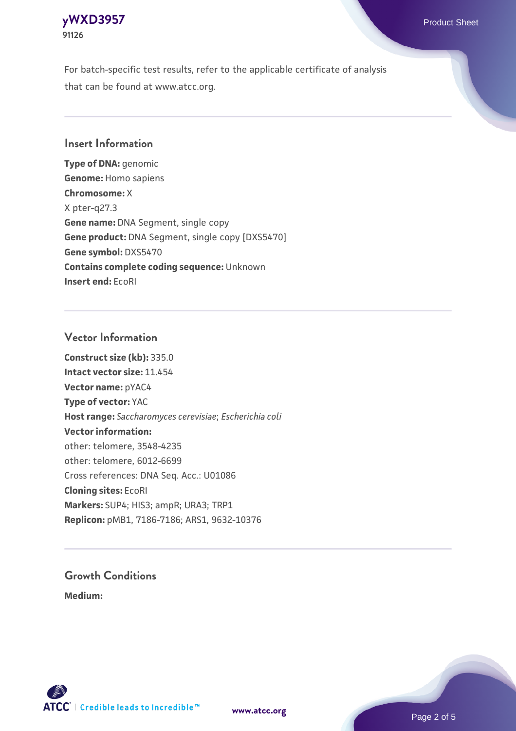#### **[yWXD3957](https://www.atcc.org/products/91126)** Product Sheet **91126**

For batch-specific test results, refer to the applicable certificate of analysis that can be found at www.atcc.org.

#### **Insert Information**

**Type of DNA:** genomic **Genome:** Homo sapiens **Chromosome:** X X pter-q27.3 **Gene name:** DNA Segment, single copy **Gene product:** DNA Segment, single copy [DXS5470] **Gene symbol:** DXS5470 **Contains complete coding sequence:** Unknown **Insert end:** EcoRI

#### **Vector Information**

**Construct size (kb):** 335.0 **Intact vector size:** 11.454 **Vector name:** pYAC4 **Type of vector:** YAC **Host range:** *Saccharomyces cerevisiae*; *Escherichia coli* **Vector information:** other: telomere, 3548-4235 other: telomere, 6012-6699 Cross references: DNA Seq. Acc.: U01086 **Cloning sites:** EcoRI **Markers:** SUP4; HIS3; ampR; URA3; TRP1 **Replicon:** pMB1, 7186-7186; ARS1, 9632-10376

# **Growth Conditions**

**Medium:** 



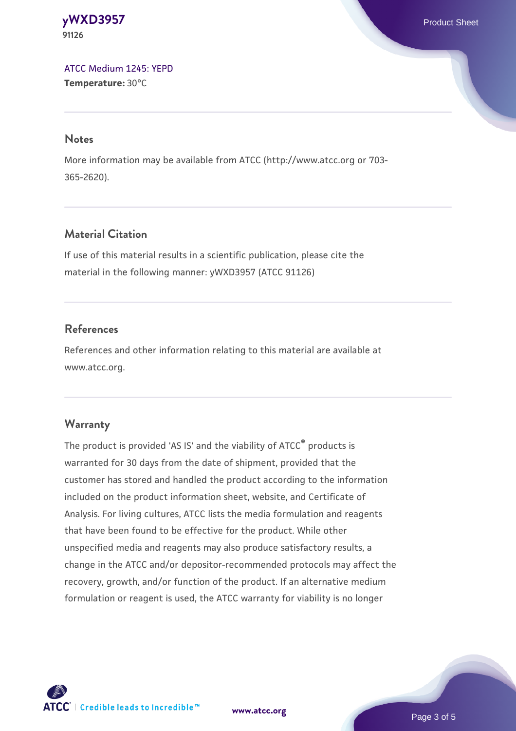**[yWXD3957](https://www.atcc.org/products/91126)** Product Sheet **91126**

[ATCC Medium 1245: YEPD](https://www.atcc.org/-/media/product-assets/documents/microbial-media-formulations/1/2/4/5/atcc-medium-1245.pdf?rev=705ca55d1b6f490a808a965d5c072196) **Temperature:** 30°C

#### **Notes**

More information may be available from ATCC (http://www.atcc.org or 703- 365-2620).

### **Material Citation**

If use of this material results in a scientific publication, please cite the material in the following manner: yWXD3957 (ATCC 91126)

#### **References**

References and other information relating to this material are available at www.atcc.org.

#### **Warranty**

The product is provided 'AS IS' and the viability of ATCC® products is warranted for 30 days from the date of shipment, provided that the customer has stored and handled the product according to the information included on the product information sheet, website, and Certificate of Analysis. For living cultures, ATCC lists the media formulation and reagents that have been found to be effective for the product. While other unspecified media and reagents may also produce satisfactory results, a change in the ATCC and/or depositor-recommended protocols may affect the recovery, growth, and/or function of the product. If an alternative medium formulation or reagent is used, the ATCC warranty for viability is no longer

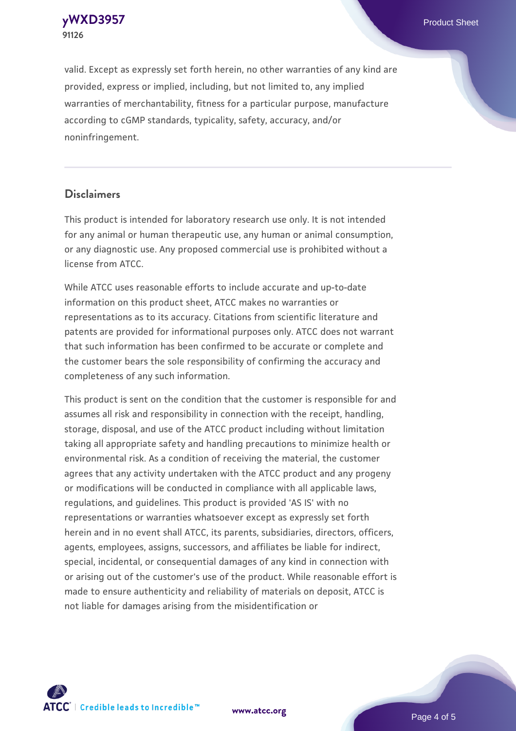**[yWXD3957](https://www.atcc.org/products/91126)** Product Sheet **91126**

valid. Except as expressly set forth herein, no other warranties of any kind are provided, express or implied, including, but not limited to, any implied warranties of merchantability, fitness for a particular purpose, manufacture according to cGMP standards, typicality, safety, accuracy, and/or noninfringement.

#### **Disclaimers**

This product is intended for laboratory research use only. It is not intended for any animal or human therapeutic use, any human or animal consumption, or any diagnostic use. Any proposed commercial use is prohibited without a license from ATCC.

While ATCC uses reasonable efforts to include accurate and up-to-date information on this product sheet, ATCC makes no warranties or representations as to its accuracy. Citations from scientific literature and patents are provided for informational purposes only. ATCC does not warrant that such information has been confirmed to be accurate or complete and the customer bears the sole responsibility of confirming the accuracy and completeness of any such information.

This product is sent on the condition that the customer is responsible for and assumes all risk and responsibility in connection with the receipt, handling, storage, disposal, and use of the ATCC product including without limitation taking all appropriate safety and handling precautions to minimize health or environmental risk. As a condition of receiving the material, the customer agrees that any activity undertaken with the ATCC product and any progeny or modifications will be conducted in compliance with all applicable laws, regulations, and guidelines. This product is provided 'AS IS' with no representations or warranties whatsoever except as expressly set forth herein and in no event shall ATCC, its parents, subsidiaries, directors, officers, agents, employees, assigns, successors, and affiliates be liable for indirect, special, incidental, or consequential damages of any kind in connection with or arising out of the customer's use of the product. While reasonable effort is made to ensure authenticity and reliability of materials on deposit, ATCC is not liable for damages arising from the misidentification or



**[www.atcc.org](http://www.atcc.org)**

Page 4 of 5